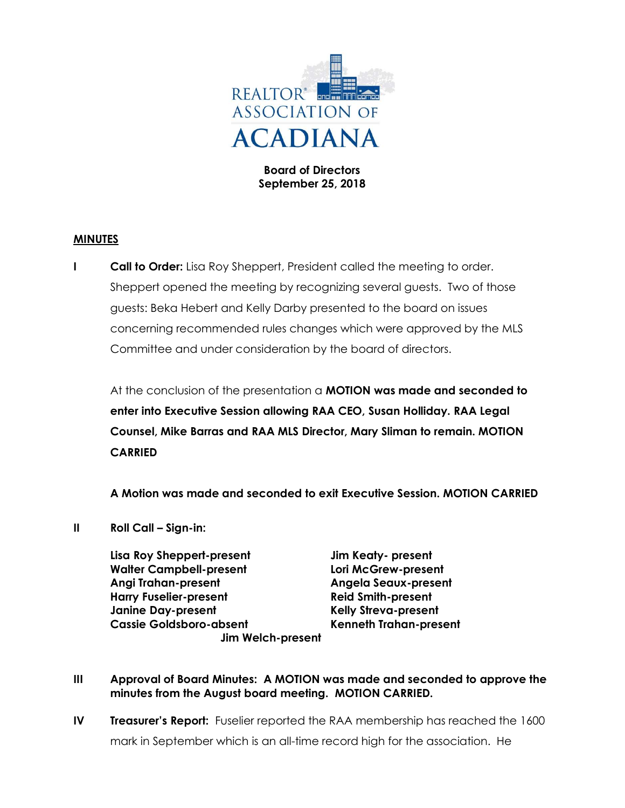

Board of Directors September 25, 2018

## MINUTES

**I Call to Order:** Lisa Roy Sheppert, President called the meeting to order. Sheppert opened the meeting by recognizing several guests. Two of those guests: Beka Hebert and Kelly Darby presented to the board on issues concerning recommended rules changes which were approved by the MLS Committee and under consideration by the board of directors.

At the conclusion of the presentation a **MOTION was made and seconded to** enter into Executive Session allowing RAA CEO, Susan Holliday. RAA Legal Counsel, Mike Barras and RAA MLS Director, Mary Sliman to remain. MOTION CARRIED

A Motion was made and seconded to exit Executive Session. MOTION CARRIED

- II Roll Call Sign-in:
	- Lisa Roy Sheppert-present Jim Keaty- present Walter Campbell-present Lori McGrew-present Angi Trahan-present Angela Seaux-present Harry Fuselier-present **Reid Smith-present** Janine Day-present Kelly Streva-present Cassie Goldsboro-absent Kenneth Trahan-present Jim Welch-present

- III Approval of Board Minutes: A MOTION was made and seconded to approve the minutes from the August board meeting. MOTION CARRIED.
- IV Treasurer's Report: Fuselier reported the RAA membership has reached the 1600 mark in September which is an all-time record high for the association. He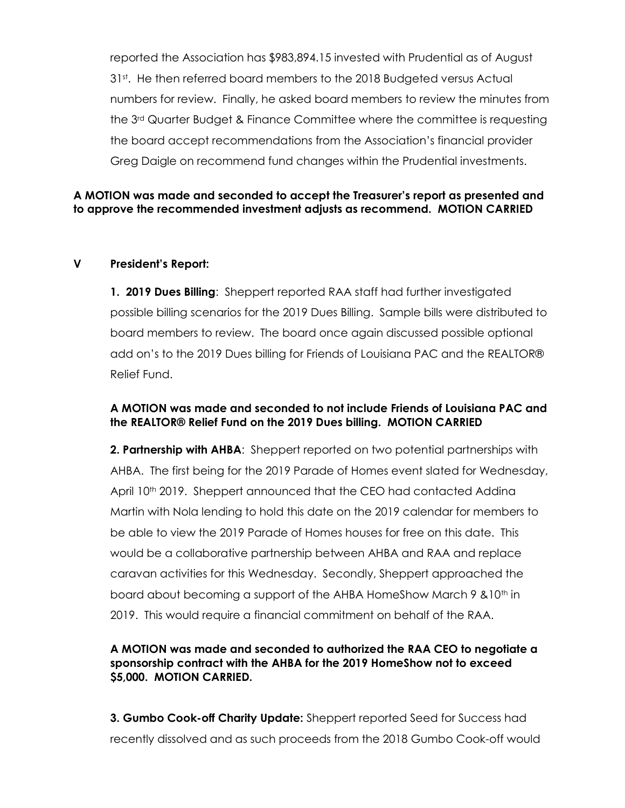reported the Association has \$983,894.15 invested with Prudential as of August 31<sup>st</sup>. He then referred board members to the 2018 Budgeted versus Actual numbers for review. Finally, he asked board members to review the minutes from the 3rd Quarter Budget & Finance Committee where the committee is requesting the board accept recommendations from the Association's financial provider Greg Daigle on recommend fund changes within the Prudential investments.

# A MOTION was made and seconded to accept the Treasurer's report as presented and to approve the recommended investment adjusts as recommend. MOTION CARRIED

#### V President's Report:

1. 2019 Dues Billing: Sheppert reported RAA staff had further investigated possible billing scenarios for the 2019 Dues Billing. Sample bills were distributed to board members to review. The board once again discussed possible optional add on's to the 2019 Dues billing for Friends of Louisiana PAC and the REALTOR® Relief Fund.

## A MOTION was made and seconded to not include Friends of Louisiana PAC and the REALTOR® Relief Fund on the 2019 Dues billing. MOTION CARRIED

**2. Partnership with AHBA:** Sheppert reported on two potential partnerships with AHBA. The first being for the 2019 Parade of Homes event slated for Wednesday, April 10<sup>th</sup> 2019. Sheppert announced that the CEO had contacted Addina Martin with Nola lending to hold this date on the 2019 calendar for members to be able to view the 2019 Parade of Homes houses for free on this date. This would be a collaborative partnership between AHBA and RAA and replace caravan activities for this Wednesday. Secondly, Sheppert approached the board about becoming a support of the AHBA HomeShow March 9 & 10<sup>th</sup> in 2019. This would require a financial commitment on behalf of the RAA.

## A MOTION was made and seconded to authorized the RAA CEO to negotiate a sponsorship contract with the AHBA for the 2019 HomeShow not to exceed \$5,000. MOTION CARRIED.

3. Gumbo Cook-off Charity Update: Sheppert reported Seed for Success had recently dissolved and as such proceeds from the 2018 Gumbo Cook-off would